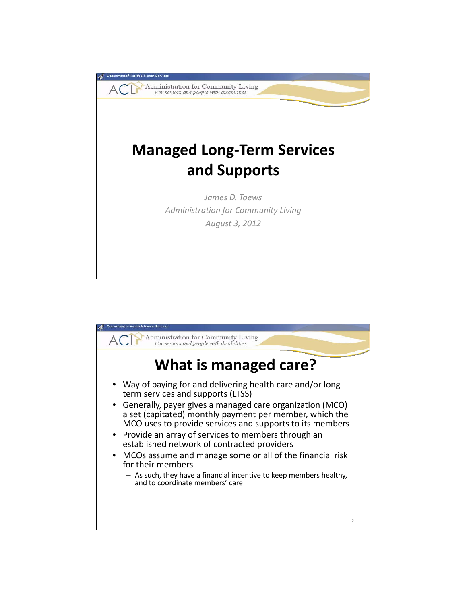

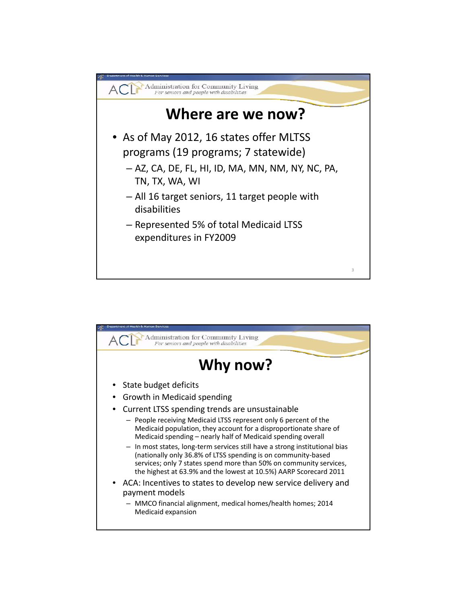

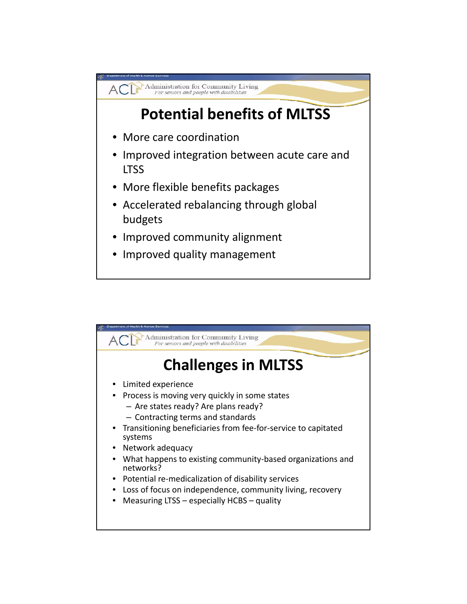